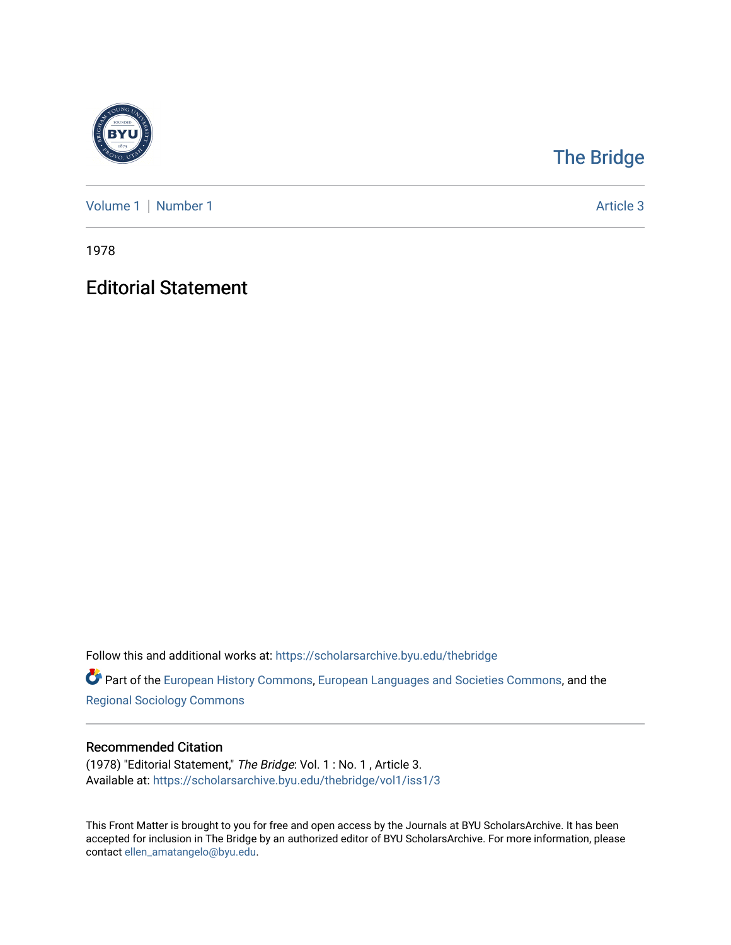

## [The Bridge](https://scholarsarchive.byu.edu/thebridge)

[Volume 1](https://scholarsarchive.byu.edu/thebridge/vol1) | [Number 1](https://scholarsarchive.byu.edu/thebridge/vol1/iss1) Article 3

1978

## Editorial Statement

Follow this and additional works at: [https://scholarsarchive.byu.edu/thebridge](https://scholarsarchive.byu.edu/thebridge?utm_source=scholarsarchive.byu.edu%2Fthebridge%2Fvol1%2Fiss1%2F3&utm_medium=PDF&utm_campaign=PDFCoverPages) 

**Part of the [European History Commons](http://network.bepress.com/hgg/discipline/492?utm_source=scholarsarchive.byu.edu%2Fthebridge%2Fvol1%2Fiss1%2F3&utm_medium=PDF&utm_campaign=PDFCoverPages), [European Languages and Societies Commons,](http://network.bepress.com/hgg/discipline/482?utm_source=scholarsarchive.byu.edu%2Fthebridge%2Fvol1%2Fiss1%2F3&utm_medium=PDF&utm_campaign=PDFCoverPages) and the** [Regional Sociology Commons](http://network.bepress.com/hgg/discipline/427?utm_source=scholarsarchive.byu.edu%2Fthebridge%2Fvol1%2Fiss1%2F3&utm_medium=PDF&utm_campaign=PDFCoverPages) 

## Recommended Citation

(1978) "Editorial Statement," The Bridge: Vol. 1 : No. 1 , Article 3. Available at: [https://scholarsarchive.byu.edu/thebridge/vol1/iss1/3](https://scholarsarchive.byu.edu/thebridge/vol1/iss1/3?utm_source=scholarsarchive.byu.edu%2Fthebridge%2Fvol1%2Fiss1%2F3&utm_medium=PDF&utm_campaign=PDFCoverPages)

This Front Matter is brought to you for free and open access by the Journals at BYU ScholarsArchive. It has been accepted for inclusion in The Bridge by an authorized editor of BYU ScholarsArchive. For more information, please contact [ellen\\_amatangelo@byu.edu.](mailto:ellen_amatangelo@byu.edu)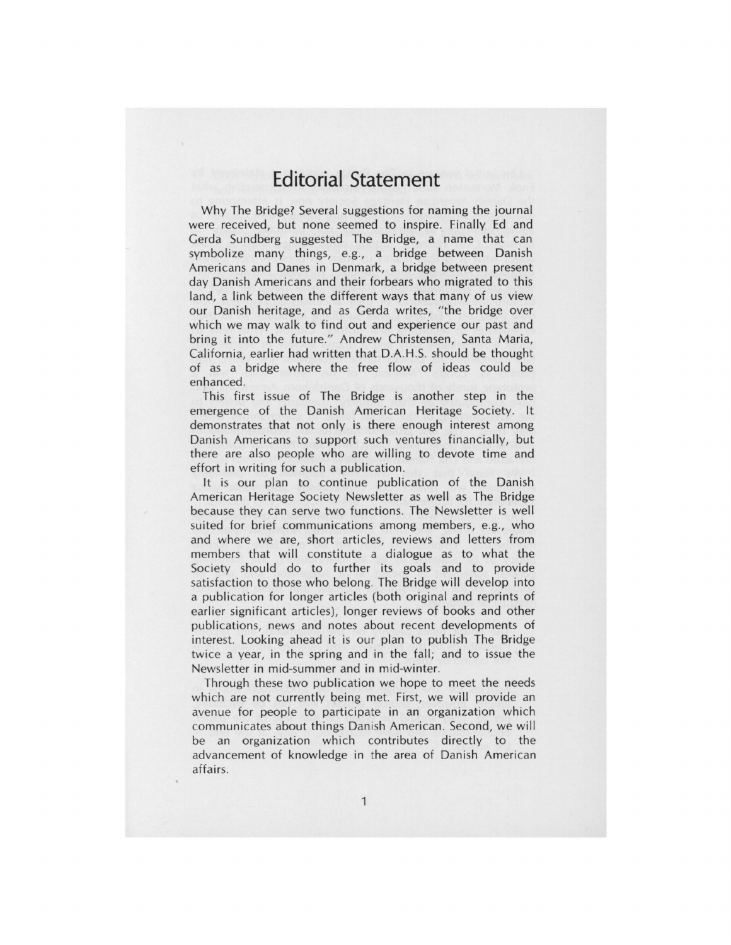## **Editorial Statement**

Why The Bridge? Several suggestions for naming the journal were received, but none seemed to inspire. Finally Ed and Gerda Sundberg suggested The Bridge, a name that can symbolize many things, e.g., a bridge between Danish Americans and Danes in Denmark, a bridge between present day Danish Americans and their forbears who migrated to this land, a link between the different ways that many of us view our Danish heritage, and as Gerda writes, "the bridge over which we may walk to find out and experience our past and bring it into the future." Andrew Christensen, Santa Maria, California, earlier had written that D.A.H.S. should be thought of as a bridge where the free flow of ideas could be enhanced .

This first issue of The Bridge is another step in the emergence of the Danish American Heritage Society. It demonstrates that not only is there enough interest among Danish Americans to support such ventures financially, but there are also people who are willing to devote time and effort in writing for such a publication.

It is our plan to continue publication of the Danish American Heritage Society Newsletter as well as The Bridge because they can serve two functions. The Newsletter is well suited for brief communications among members, e.g., who and where we are, short articles, reviews and letters from members that will constitute a dialogue as to what the Society should do to further its goals and to provide satisfaction to those who belong. The Bridge will develop into a publication for longer articles (both original and reprints of earlier significant articles), longer reviews of books and other publications, news and notes about recent developments of interest. Looking ahead it is our plan to publish The Bridge twice a year, in the spring and in the fall; and to issue the Newsletter in mid-summer and in mid-winter.

Through these two publication we hope to meet the needs which are not currently being met. First, we will provide an avenue for people to participate in an organization which communicates about things Danish American. Second, we will be an organization which contributes directly to the advancement of knowledge in the area of Danish American affairs.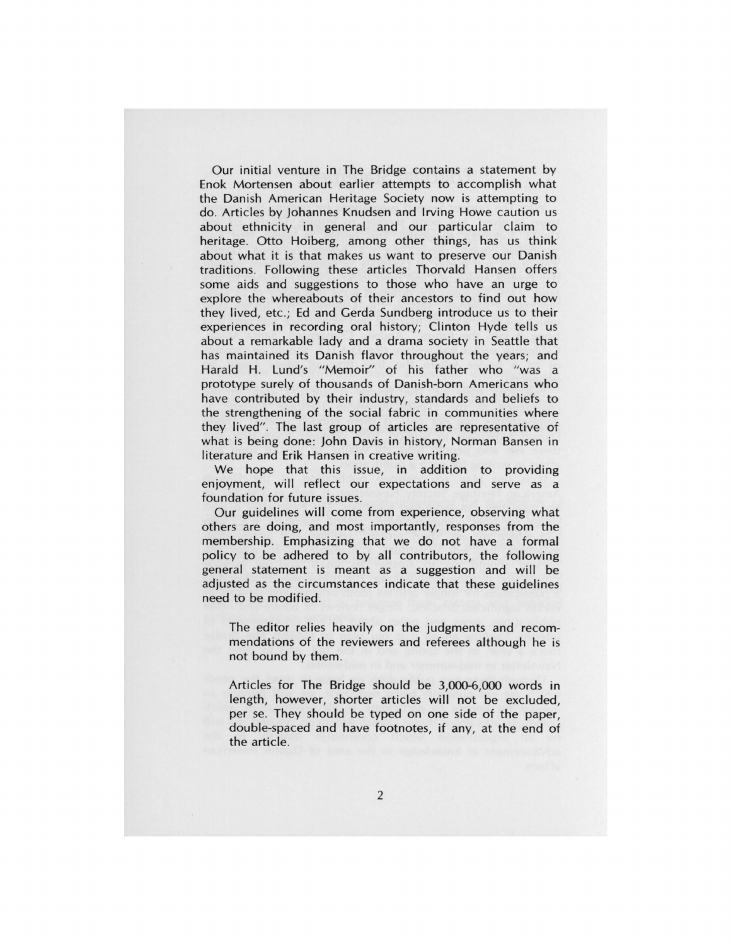Our initial venture in The Bridge contains a statement by Enok Mortensen about earlier attempts to accomplish what the Danish American Heritage Society now is attempting to do. Articles by Johannes Knudsen and Irving Howe caution us about ethnicity in general and our particular claim to heritage. Otto Hoiberg, among other things, has us think about what it is that makes us want to preserve our Danish traditions. Following these articles Thorvald Hansen offers some aids and suggestions to those who have an urge to explore the whereabouts of their ancestors to find out how they lived, etc.; Ed and Cerda Sundberg introduce us to their experiences in recording oral history; Clinton Hyde tells us about a remarkable lady and a drama society in Seattle that has maintained its Danish flavor throughout the years; and Harald H. Lund's "Memoir" of his father who "was a prototype surely of thousands of Danish-born Americans who have contributed by their industry, standards and beliefs to the strengthening of the social fabric in communities where they lived". The last group of articles are representative of what is being done: John Davis in history, Norman Bansen in literature and Erik Hansen in creative writing.

We hope that this issue, in addition to providing enjoyment, will reflect our expectations and serve as a foundation for future issues.

Our guidelines will come from experience, observing what others are doing, and most importantly, responses from the membership. Emphasizing that we do not have a formal policy to be adhered to by all contributors, the following general statement is meant as a suggestion and will be adjusted as the circumstances indicate that these guidelines need to be modified.

The editor relies heavily on the judgments and recommendations of the reviewers and referees although he is not bound by them.

Articles for The Bridge should be 3,000-6,000 words in length, however, shorter articles will not be excluded, per se. They should be typed on one side of the paper, double-spaced and have footnotes, if any, at the end of the article.